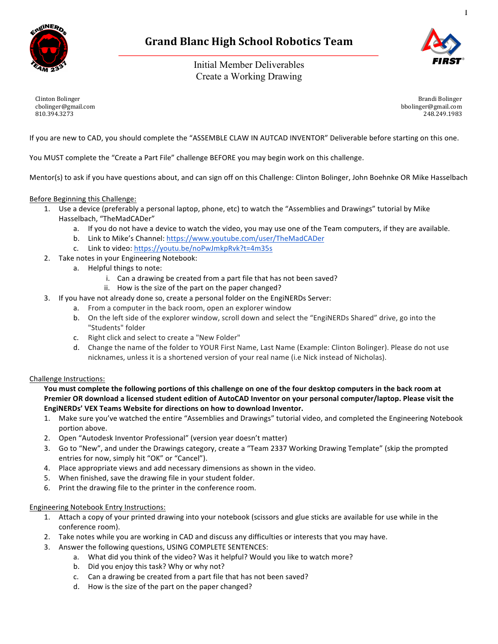

# **Grand Blanc High School Robotics Team**

Initial Member Deliverables Create a Working Drawing



1

Clinton Bolinger cbolinger@gmail.com 810.394.3273

Brandi Bolinger bbolinger@gmail.com 248.249.1983

If you are new to CAD, you should complete the "ASSEMBLE CLAW IN AUTCAD INVENTOR" Deliverable before starting on this one.

You MUST complete the "Create a Part File" challenge BEFORE you may begin work on this challenge.

Mentor(s) to ask if you have questions about, and can sign off on this Challenge: Clinton Bolinger, John Boehnke OR Mike Hasselbach

### Before Beginning this Challenge:

- 1. Use a device (preferably a personal laptop, phone, etc) to watch the "Assemblies and Drawings" tutorial by Mike Hasselbach, "TheMadCADer"
	- a. If you do not have a device to watch the video, you may use one of the Team computers, if they are available.
	- b. Link to Mike's Channel: https://www.youtube.com/user/TheMadCADer
		- c. Link to video: https://youtu.be/noPwJmkpRvk?t=4m35s
- 2. Take notes in your Engineering Notebook:
	- a. Helpful things to note:
		- i. Can a drawing be created from a part file that has not been saved?
		- ii. How is the size of the part on the paper changed?
- 3. If you have not already done so, create a personal folder on the EngiNERDs Server:
	- a. From a computer in the back room, open an explorer window
	- b. On the left side of the explorer window, scroll down and select the "EngiNERDs Shared" drive, go into the "Students" folder
	- c. Right click and select to create a "New Folder"
	- d. Change the name of the folder to YOUR First Name, Last Name (Example: Clinton Bolinger). Please do not use nicknames, unless it is a shortened version of your real name (i.e Nick instead of Nicholas).

#### Challenge Instructions:

You must complete the following portions of this challenge on one of the four desktop computers in the back room at Premier OR download a licensed student edition of AutoCAD Inventor on your personal computer/laptop. Please visit the EngiNERDs' VEX Teams Website for directions on how to download Inventor.

- 1. Make sure you've watched the entire "Assemblies and Drawings" tutorial video, and completed the Engineering Notebook portion above.
- 2. Open "Autodesk Inventor Professional" (version year doesn't matter)
- 3. Go to "New", and under the Drawings category, create a "Team 2337 Working Drawing Template" (skip the prompted entries for now, simply hit "OK" or "Cancel").
- 4. Place appropriate views and add necessary dimensions as shown in the video.
- 5. When finished, save the drawing file in your student folder.
- 6. Print the drawing file to the printer in the conference room.

#### **Engineering Notebook Entry Instructions:**

- 1. Attach a copy of your printed drawing into your notebook (scissors and glue sticks are available for use while in the conference room).
- 2. Take notes while you are working in CAD and discuss any difficulties or interests that you may have.
- 3. Answer the following questions, USING COMPLETE SENTENCES:
	- a. What did you think of the video? Was it helpful? Would you like to watch more?
	- b. Did you enjoy this task? Why or why not?
	- c. Can a drawing be created from a part file that has not been saved?
	- d. How is the size of the part on the paper changed?